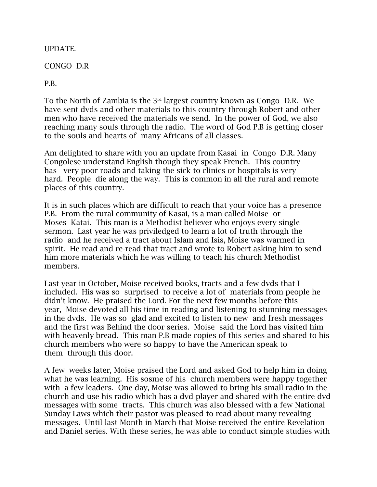UPDATE.

CONGO D.R

P.B.

To the North of Zambia is the 3rd largest country known as Congo D.R. We have sent dvds and other materials to this country through Robert and other men who have received the materials we send. In the power of God, we also reaching many souls through the radio. The word of God P.B is getting closer to the souls and hearts of many Africans of all classes.

Am delighted to share with you an update from Kasai in Congo D.R. Many Congolese understand English though they speak French. This country has very poor roads and taking the sick to clinics or hospitals is very hard. People die along the way. This is common in all the rural and remote places of this country.

It is in such places which are difficult to reach that your voice has a presence P.B. From the rural community of Kasai, is a man called Moise or Moses Katai. This man is a Methodist believer who enjoys every single sermon. Last year he was priviledged to learn a lot of truth through the radio and he received a tract about Islam and Isis, Moise was warmed in spirit. He read and re-read that tract and wrote to Robert asking him to send him more materials which he was willing to teach his church Methodist members.

Last year in October, Moise received books, tracts and a few dvds that I included. His was so surprised to receive a lot of materials from people he didn't know. He praised the Lord. For the next few months before this year, Moise devoted all his time in reading and listening to stunning messages in the dvds. He was so glad and excited to listen to new and fresh messages and the first was Behind the door series. Moise said the Lord has visited him with heavenly bread. This man P.B made copies of this series and shared to his church members who were so happy to have the American speak to them through this door.

A few weeks later, Moise praised the Lord and asked God to help him in doing what he was learning. His sosme of his church members were happy together with a few leaders. One day, Moise was allowed to bring his small radio in the church and use his radio which has a dvd player and shared with the entire dvd messages with some tracts. This church was also blessed with a few National Sunday Laws which their pastor was pleased to read about many revealing messages. Until last Month in March that Moise received the entire Revelation and Daniel series. With these series, he was able to conduct simple studies with